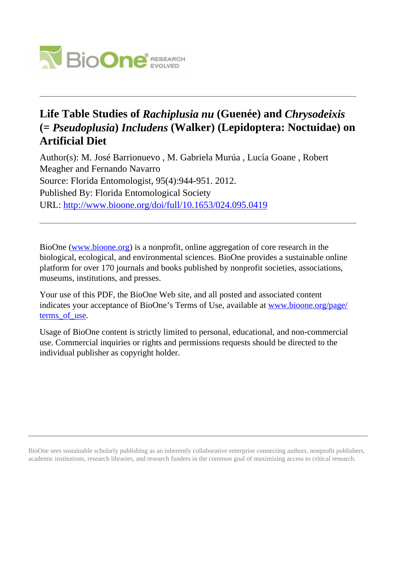

# **Life Table Studies of** *Rachiplusia nu* **(Guenée) and** *Chrysodeixis* **(=** *Pseudoplusia***)** *Includens* **(Walker) (Lepidoptera: Noctuidae) on Artificial Diet**

Author(s): M. José Barrionuevo , M. Gabriela Murúa , Lucía Goane , Robert Meagher and Fernando Navarro Source: Florida Entomologist, 95(4):944-951. 2012. Published By: Florida Entomological Society URL: <http://www.bioone.org/doi/full/10.1653/024.095.0419>

BioOne [\(www.bioone.org\)](http://www.bioone.org) is a nonprofit, online aggregation of core research in the biological, ecological, and environmental sciences. BioOne provides a sustainable online platform for over 170 journals and books published by nonprofit societies, associations, museums, institutions, and presses.

Your use of this PDF, the BioOne Web site, and all posted and associated content indicates your acceptance of BioOne's Terms of Use, available at [www.bioone.org/page/](http://www.bioone.org/page/terms_of_use) terms of use.

Usage of BioOne content is strictly limited to personal, educational, and non-commercial use. Commercial inquiries or rights and permissions requests should be directed to the individual publisher as copyright holder.

BioOne sees sustainable scholarly publishing as an inherently collaborative enterprise connecting authors, nonprofit publishers, academic institutions, research libraries, and research funders in the common goal of maximizing access to critical research.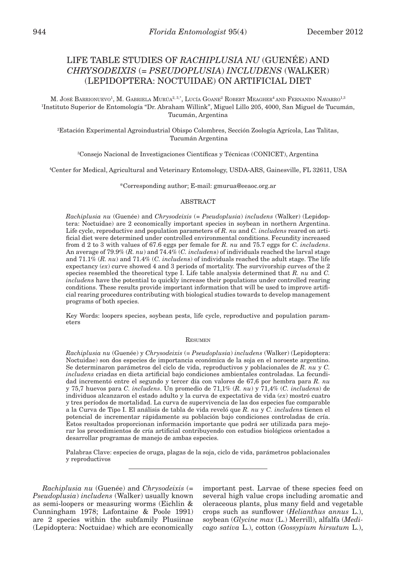## LIFE TABLE STUDIES OF *RACHIPLUSIA NU* (GUENÉE) AND *CHRYSODEIXIS* (= *PSEUDOPLUSIA*) *INCLUDENS* (WALKER) (LEPIDOPTERA: NOCTUIDAE) ON ARTIFICIAL DIET

M. JOSÉ BARRIONUEVO<sup>1</sup>, M. GABRIELA MURÚA<sup>2, 3,\*</sup>, LUCÍA GOANE<sup>2</sup> ROBERT MEAGHER<sup>4</sup> AND FERNANDO NAVARRO<sup>1,3</sup> 1 Instituto Superior de Entomología "Dr. Abraham Willink", Miguel Lillo 205, 4000, San Miguel de Tucumán, Tucumán, Argentina

2 Estación Experimental Agroindustrial Obispo Colombres, Sección Zoología Agrícola, Las Talitas, Tucumán Argentina

3 Consejo Nacional de Investigaciones Científicas y Técnicas (CONICET), Argentina

4 Center for Medical, Agricultural and Veterinary Entomology, USDA-ARS, Gainesville, FL 32611, USA

\*Corresponding author; E-mail: gmurua@eeaoc.org.ar

## ABSTRACT

*Rachiplusia nu* (Guenée) and *Chrysodeixis* (= *Pseudoplusia*) *includens* (Walker) (Lepidoptera: Noctuidae) are 2 economically important species in soybean in northern Argentina. Life cycle, reproductive and population parameters of *R. nu* and *C. includens* reared on artificial diet were determined under controlled environmental conditions. Fecundity increased from d 2 to 3 with values of 67.6 eggs per female for *R. nu* and 75.7 eggs for *C. includens*. An average of 79.9% (*R. nu*) and 74.4% (*C. includen*s) of individuals reached the larval stage and 71.1% (*R. nu*) and 71.4% (*C. includen*s) of individuals reached the adult stage. The life expectancy (*ex*) curve showed 4 and 3 periods of mortality. The survivorship curves of the 2 species resembled the theoretical type I. Life table analysis determined that *R. nu* and *C. includen*s have the potential to quickly increase their populations under controlled rearing conditions. These results provide important information that will be used to improve artificial rearing procedures contributing with biological studies towards to develop management programs of both species.

Key Words: loopers species, soybean pests, life cycle, reproductive and population parameters

## RESUMEN

*Rachiplusia nu* (Guenée) y *Chrysodeixis* (= *Pseudoplusia*) *includens* (Walker) (Lepidoptera: Noctuidae) son dos especies de importancia económica de la soja en el noroeste argentino. Se determinaron parámetros del ciclo de vida, reproductivos y poblacionales de *R. nu* y *C. includens* criadas en dieta artificial bajo condiciones ambientales controladas. La fecundidad incrementó entre el segundo y tercer día con valores de 67,6 por hembra para *R. nu* y 75,7 huevos para *C. includens*. Un promedio de 71,1% (*R. nu*) y 71,4% (*C. includen*s) de individuos alcanzaron el estado adulto y la curva de expectativa de vida (*ex*) mostró cuatro y tres períodos de mortalidad. La curva de supervivencia de las dos especies fue comparable a la Curva de Tipo I. El análisis de tabla de vida reveló que *R. nu* y *C. includen*s tienen el potencial de incrementar rápidamente su población bajo condiciones controladas de cría. Estos resultados proporcionan información importante que podrá ser utilizada para mejorar los procedimientos de cría artificial contribuyendo con estudios biológicos orientados a desarrollar programas de manejo de ambas especies.

Palabras Clave: especies de oruga, plagas de la soja, ciclo de vida, parámetros poblacionales y reproductivos

*Rachiplusia nu* (Guenée) and *Chrysodeixis* (= *Pseudoplusia*) *includens* (Walker) usually known as semi-loopers or measuring worms (Eichlin & Cunningham 1978; Lafontaine & Poole 1991) are 2 species within the subfamily Plusiinae (Lepidoptera: Noctuidae) which are economically

important pest. Larvae of these species feed on several high value crops including aromatic and oleraceous plants, plus many field and vegetable crops such as sunflower (*Helianthus annus* L.), soybean (*Glycine max* (L.) Merrill), alfalfa (*Medicago sativa* L.), cotton (*Gossypium hirsutum* L.),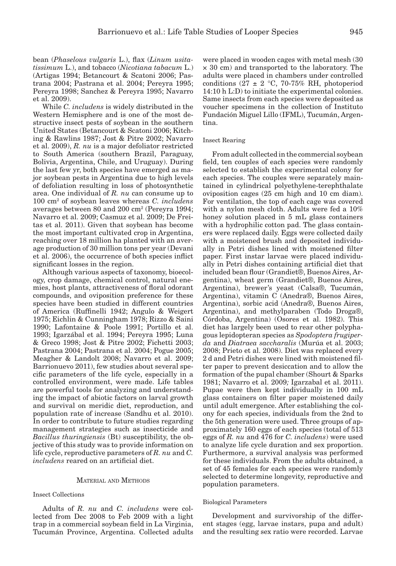bean (*Phaselous vulgaris* L.), flax (*Linum usitatissimum* L.), and tobacco (*Nicotiana tabacum* L.) (Artigas 1994; Betancourt & Scatoni 2006; Pastrana 2004; Pastrana et al. 2004; Pereyra 1995; Pereyra 1998; Sanchez & Pereyra 1995; Navarro et al. 2009).

While *C. includens* is widely distributed in the Western Hemisphere and is one of the most destructive insect pests of soybean in the southern United States (Betancourt & Scatoni 2006; Kitching & Rawlins 1987; Jost & Pitre 2002; Navarro et al. 2009), *R. nu* is a major defoliator restricted to South America (southern Brazil, Paraguay, Bolivia, Argentina, Chile, and Uruguay). During the last few yr, both species have emerged as major soybean pests in Argentina due to high levels of defoliation resulting in loss of photosynthetic area. One individual of *R. nu* can consume up to 100 cm2 of soybean leaves whereas *C. includens* averages between 80 and 200 cm<sup>2</sup> (Pereyra 1994; Navarro et al. 2009; Casmuz et al. 2009; De Freitas et al. 2011). Given that soybean has become the most important cultivated crop in Argentina, reaching over 18 million ha planted with an average production of 30 million tons per year (Devani et al. 2006), the occurrence of both species inflict significant losses in the region.

Although various aspects of taxonomy, bioecology, crop damage, chemical control, natural enemies, host plants, attractiveness of floral odorant compounds, and oviposition preference for these species have been studied in different countries of America (Ruffinelli 1942; Angulo & Weigert 1975; Eichlin & Cunningham 1978; Rizzo & Saini 1990; Lafontaine & Poole 1991; Portillo et al. 1993; Igarzábal et al. 1994; Pereyra 1995; Luna & Greco 1998; Jost & Pitre 2002; Fichetti 2003; Pastrana 2004; Pastrana et al. 2004; Pogue 2005; Meagher & Landolt 2008; Navarro et al. 2009; Barrionuevo 2011), few studies about several specific parameters of the life cycle, especially in a controlled environment, were made. Life tables are powerful tools for analyzing and understanding the impact of abiotic factors on larval growth and survival on meridic diet, reproduction, and population rate of increase (Sandhu et al. 2010). In order to contribute to future studies regarding management strategies such as insecticide and *Bacillus thuringiensis* (Bt) susceptibility, the objective of this study was to provide information on life cycle, reproductive parameters of *R. nu* and *C. includens* reared on an artificial diet.

## MATERIAL AND METHODS

## Insect Collections

Adults of *R. nu* and *C. includens* were collected from Dec 2008 to Feb 2009 with a light trap in a commercial soybean field in La Virginia, Tucumán Province, Argentina. Collected adults were placed in wooden cages with metal mesh (30 × 30 cm) and transported to the laboratory. The adults were placed in chambers under controlled conditions ( $27 \pm 2$  °C, 70-75% RH, photoperiod 14:10 h L:D) to initiate the experimental colonies. Same insects from each species were deposited as voucher specimens in the collection of Instituto Fundación Miguel Lillo (IFML), Tucumán, Argentina.

## Insect Rearing

From adult collected in the commercial soybean field, ten couples of each species were randomly selected to establish the experimental colony for each species. The couples were separately maintained in cylindrical polyethylene-terephthalate oviposition cages (25 cm high and 10 cm diam). For ventilation, the top of each cage was covered with a nylon mesh cloth. Adults were fed a 10% honey solution placed in 5 mL glass containers with a hydrophilic cotton pad. The glass containers were replaced daily. Eggs were collected daily with a moistened brush and deposited individually in Petri dishes lined with moistened filter paper. First instar larvae were placed individually in Petri dishes containing artificial diet that included bean flour (Grandiet®, Buenos Aires, Argentina), wheat germ (Grandiet®, Buenos Aires, Argentina), brewer's yeast (Calsa®, Tucumán, Argentina), vitamin C (Anedra®, Buenos Aires, Argentina), sorbic acid (Anedra®, Buenos Aires, Argentina), and methylparaben (Todo Droga®, Córdoba, Argentina) (Osores et al. 1982). This diet has largely been used to rear other polyphagous lepidopteran species as *Spodoptera frugiperda* and *Diatraea saccharalis* (Murúa et al. 2003; 2008; Prieto et al. 2008). Diet was replaced every 2 d and Petri dishes were lined with moistened filter paper to prevent desiccation and to allow the formation of the pupal chamber (Shourt & Sparks 1981; Navarro et al. 2009*;* Igarzabal et al. 2011). Pupae were then kept individually in 100 mL glass containers on filter paper moistened daily until adult emergence. After establishing the colony for each species, individuals from the 2nd to the 5th generation were used. Three groups of approximately 160 eggs of each species (total of 513 eggs of *R. nu* and 476 for *C. includens*) were used to analyze life cycle duration and sex proportion. Furthermore, a survival analysis was performed for these individuals. From the adults obtained, a set of 45 females for each species were randomly selected to determine longevity, reproductive and population parameters.

#### Biological Parameters

Development and survivorship of the different stages (egg, larvae instars, pupa and adult) and the resulting sex ratio were recorded. Larvae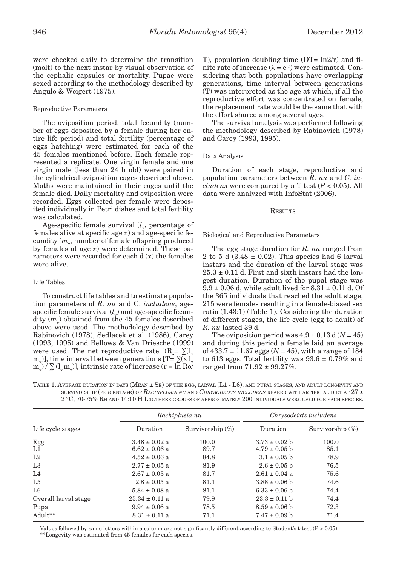were checked daily to determine the transition (molt) to the next instar by visual observation of the cephalic capsules or mortality. Pupae were sexed according to the methodology described by Angulo & Weigert (1975).

## Reproductive Parameters

The oviposition period, total fecundity (number of eggs deposited by a female during her entire life period) and total fertility (percentage of eggs hatching) were estimated for each of the 45 females mentioned before. Each female represented a replicate. One virgin female and one virgin male (less than 24 h old) were paired in the cylindrical oviposition cages described above. Moths were maintained in their cages until the female died. Daily mortality and oviposition were recorded. Eggs collected per female were deposited individually in Petri dishes and total fertility was calculated.

Age-specific female survival (*l* , percentage of females alive at specific age  $x$ ) and age-specific fecundity ( $m_x$ , number of female offspring produced by females at age *x*) were determined. These parameters were recorded for each d (*x*) the females were alive.

## Life Tables

To construct life tables and to estimate population parameters of *R. nu* and C. *includens*, agespecific female survival  $(l<sub>x</sub>)$  and age-specific fecundity  $(m_x)$  obtained from the 45 females described above were used. The methodology described by Rabinovich (1978), Sedlacek et al. (1986), Carey (1993, 1995) and Bellows & Van Driesche (1999) were used. The net reproductive rate  $[(R_{\circ} = \sum_{x} (I_{x})$  $m_{x}$ ], time interval between generations [T=  $\sum (x l_{x})$  $m_x^2 / \sum (l_x m_x)$ , intrinsic rate of increase (r = ln Ro $\bar{\ell}$  T), population doubling time  $(DT= ln2/r)$  and finite rate of increase  $(\lambda = e^r)$  were estimated. Considering that both populations have overlapping generations, time interval between generations (T) was interpreted as the age at which, if all the reproductive effort was concentrated on female, the replacement rate would be the same that with the effort shared among several ages.

The survival analysis was performed following the methodology described by Rabinovich (1978) and Carey (1993, 1995).

## Data Analysis

Duration of each stage, reproductive and population parameters between *R. nu* and *C. includens* were compared by a T test  $(P < 0.05)$ . All data were analyzed with InfoStat (2006).

## **RESULTS**

## Biological and Reproductive Parameters

The egg stage duration for *R. nu* ranged from 2 to 5 d  $(3.48 \pm 0.02)$ . This species had 6 larval instars and the duration of the larval stage was  $25.3 \pm 0.11$  d. First and sixth instars had the longest duration. Duration of the pupal stage was  $9.9 \pm 0.06$  d, while adult lived for  $8.31 \pm 0.11$  d. Of the 365 individuals that reached the adult stage, 215 were females resulting in a female-biased sex ratio (1.43:1) (Table 1). Considering the duration of different stages, the life cycle (egg to adult) of *R. nu* lasted 39 d.

The oviposition period was  $4.9 \pm 0.13$  d ( $N = 45$ ) and during this period a female laid an average of  $433.7 \pm 11.67$  eggs ( $N = 45$ ), with a range of 184 to 613 eggs. Total fertility was  $93.6 \pm 0.79\%$  and ranged from 71.92 ± 99.27%.

| TABLE 1. AVERAGE DURATION IN DAYS (MEAN $\pm$ Se) of the egg, larval (L1 - L6), and pupal stages, and adult longevity and |
|---------------------------------------------------------------------------------------------------------------------------|
| SURVIVORSHIP (PERCENTAGE) OF RACHIPLUSIA NU AND CHRYSODEIXIS INCLUDENS REARED WITH ARTIFICIAL DIET AT $27 \pm$            |
| $2\degree$ C, 70-75% Rh and 14:10 H L:D. Three groups of approximately 200 individuals were used for each species.        |

| Life cycle stages    | Rachiplusia nu                         |                     | Chrysodeixis includens                 |                     |  |
|----------------------|----------------------------------------|---------------------|----------------------------------------|---------------------|--|
|                      | Duration                               | Survivorship $(\%)$ | Duration                               | Survivorship $(\%)$ |  |
| $_{L1}^{Egg}$        | $3.48 \pm 0.02$ a<br>$6.62 \pm 0.06$ a | 100.0<br>89.7       | $3.73 \pm 0.02$ b<br>$4.79 \pm 0.05$ b | 100.0<br>85.1       |  |
| L <sub>2</sub>       | $4.52 \pm 0.06$ a                      | 84.8                | $3.1 \pm 0.05$ b                       | 78.9                |  |
| L <sub>3</sub>       | $2.77 \pm 0.05$ a                      | 81.9                | $2.6 \pm 0.05$ h                       | 76.5                |  |
| L <sub>4</sub>       | $2.67 \pm 0.03$ a                      | 81.7                | $2.61 \pm 0.04$ a                      | 75.6                |  |
| L5                   | $2.8 \pm 0.05$ a                       | 81.1                | $3.88 \pm 0.06$ b                      | 74.6                |  |
| L <sub>6</sub>       | $5.84 \pm 0.08$ a                      | 81.1                | $6.33 \pm 0.06$ b                      | 74.4                |  |
| Overall larval stage | $25.34 \pm 0.11$ a                     | 79.9                | $23.3 \pm 0.11$ b                      | 74.4                |  |
| Pupa                 | $9.94 \pm 0.06$ a                      | 78.5                | $8.59 \pm 0.06$ b                      | 72.3                |  |
| $Adult**$            | $8.31 \pm 0.11$ a                      | 71.1                | $7.47 \pm 0.09$ b                      | 71.4                |  |

Values followed by same letters within a column are not significantly different according to Student's t-test (P > 0.05) \*\*Longevity was estimated from 45 females for each species.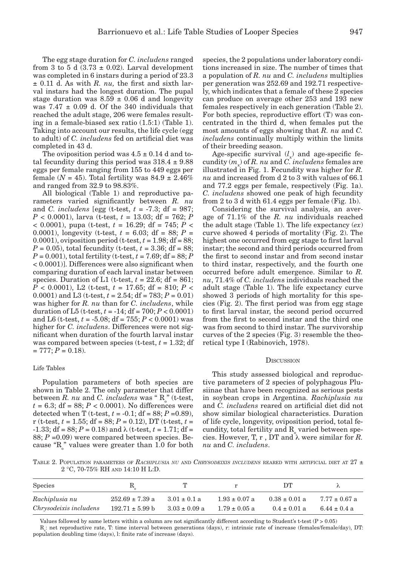The egg stage duration for *C. includens* ranged from 3 to 5 d  $(3.73 \pm 0.02)$ . Larval development was completed in 6 instars during a period of 23.3  $\pm$  0.11 d. As with *R. nu*, the first and sixth larval instars had the longest duration. The pupal stage duration was  $8.59 \pm 0.06$  d and longevity was  $7.47 \pm 0.09$  d. Of the 340 individuals that reached the adult stage, 206 were females resulting in a female-biased sex ratio (1.5:1) (Table 1). Taking into account our results, the life cycle (egg to adult) of *C. includens* fed on artificial diet was completed in 43 d.

The oviposition period was  $4.5 \pm 0.14$  d and total fecundity during this period was  $318.4 \pm 9.88$ eggs per female ranging from 155 to 449 eggs per female ( $N = 45$ ). Total fertility was  $84.9 \pm 2.46\%$ and ranged from 32.9 to 98.83%.

All biological (Table 1) and reproductive parameters varied significantly between *R. nu* and *C. includens* [egg (t-test, *t* = -7.3; df = 987; *P* < 0.0001), larva (t-test, *t* = 13.03; df = 762; *P* < 0.0001), pupa (t-test, *t* = 16.29; df = 745; *P* < 0.0001), longevity (t-test,  $t = 6.03$ ; df = 88;  $P =$ 0.0001), oviposition period (t-test, *t* = 1.98; df = 88; *P* = 0.05), total fecundity (t-test,  $t = 3.36$ ; df = 88; *P* = 0.001), total fertility (t-test, *t* = 7.69; df = 88; *P* < 0.0001)]. Differences were also significant when comparing duration of each larval instar between species. Duration of L1 (t-test,  $t = 22.6$ ; df = 861; *P* < 0.0001), L2 (t-test, *t* = 17.65; df = 810; *P* < 0.0001) and L3 (t-test, *t* = 2.54; df = 783; *P* = 0.01) was higher for *R. nu* than for *C. includens*, while duration of L5 (t-test,  $t = -14$ ; df = 700;  $P < 0.0001$ ) and L6 (t-test, *t* = -5.08; df = 755; *P* < 0.0001) was higher for *C. includens*. Differences were not significant when duration of the fourth larval instar was compared between species ( $t$ -test,  $t = 1.32$ ; df  $= 777; P = 0.18.$ 

#### Life Tables

Population parameters of both species are shown in Table 2. The only parameter that differ between  $R$ . *nu* and  $C$ . *includens* was " $R_o$ " (t-test,  $t = 6.3$ ; df =  $88$ ;  $P < 0.0001$ ). No differences were detected when T (t-test,  $t = -0.1$ ; df = 88;  $P = 0.89$ ), r (t-test, *t* = 1.55; df = 88; *P* = 0.12), DT (t-test, *t* =  $-1.33$ ; df = 88; P = 0.18) and  $\lambda$  (t-test, t = 1.71; df = 88; *P* =0.09) were compared between species. Because " $R_{o}$ " values were greater than 1.0 for both

species, the 2 populations under laboratory conditions increased in size. The number of times that a population of *R. nu* and *C. includens* multiplies per generation was 252.69 and 192.71 respectively, which indicates that a female of these 2 species can produce on average other 253 and 193 new females respectively in each generation (Table 2). For both species, reproductive effort (T) was concentrated in the third d, when females put the most amounts of eggs showing that *R. nu* and *C. includens* continually multiply within the limits of their breeding season.

Age-specific survival  $(l_x)$  and age-specific fecundity  $(m_x)$  of *R. nu* and *C. includens* females are illustrated in Fig. 1. Fecundity was higher for *R. nu* and increased from d 2 to 3 with values of 66.1 and 77.2 eggs per female, respectively (Fig. 1a). *C. includens* showed one peak of high fecundity from 2 to 3 d with 61.4 eggs per female (Fig. 1b).

Considering the survival analysis, an average of 71.1% of the *R. nu* individuals reached the adult stage (Table 1). The life expectancy (*ex*) curve showed 4 periods of mortality (Fig. 2). The highest one occurred from egg stage to first larval instar; the second and third periods occurred from the first to second instar and from second instar to third instar, respectively, and the fourth one occurred before adult emergence. Similar to *R. nu*, 71.4% of *C. includen*s individuals reached the adult stage (Table 1). The life expectancy curve showed 3 periods of high mortality for this species (Fig. 2). The first period was from egg stage to first larval instar, the second period occurred from the first to second instar and the third one was from second to third instar. The survivorship curves of the 2 species (Fig. 3) resemble the theoretical type I (Rabinovich, 1978).

#### **DISCUSSION**

This study assessed biological and reproductive parameters of 2 species of polyphagous Plusiinae that have been recognized as serious pests in soybean crops in Argentina. *Rachiplusia nu* and *C. includens* reared on artificial diet did not show similar biological characteristics. Duration of life cycle, longevity, oviposition period, total fecundity, total fertility and  $R_{\text{o}}$  varied between species. However, T, r, DT and  $\lambda$  were similar for *R*. *nu* and *C. includens*.

TABLE 2. POPULATION PARAMETERS OF *RACHIPLUSIA NU* AND *CHRYSODEIXIS INCLUDENS* REARED WITH ARTIFICIAL DIET AT 27 ± 2 °C, 70-75% RH AND 14:10 H L:D.

| <b>Species</b>         | $R_{\rm g}$         |                   | r                 | DТ                |                   |
|------------------------|---------------------|-------------------|-------------------|-------------------|-------------------|
| Rachiplusia nu         | $252.69 \pm 7.39$ a | $3.01 \pm 0.1$ a  | $1.93 \pm 0.07$ a | $0.38 \pm 0.01$ a | $7.77 \pm 0.67$ a |
| Chrysodeixis includens | $192.71 \pm 5.99$ b | $3.03 \pm 0.09$ a | $1.79 \pm 0.05$ a | $0.4 \pm 0.01$ a  | $6.44 \pm 0.4$ a  |

Values followed by same letters within a column are not significantly different according to Student's t-test (P > 0.05)  $R_{o}$ : net reproductive rate, T: time interval between generations (days), r: intrinsic rate of increase (females/female/day), DT: population doubling time (days), l: finite rate of increase (days).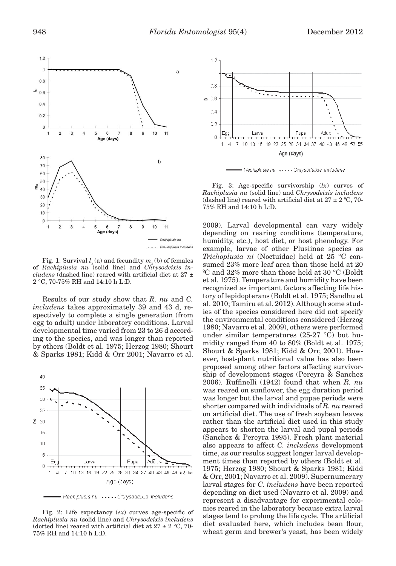

Fig. 1: Survival  $l_{x}$  (a) and fecundity  $m_{y}$  (b) of females of *Rachiplusia nu* (solid line) and *Chrysodeixis includens* (dashed line) reared with artificial diet at 27 ± 2 °C, 70-75% RH and 14:10 h L:D.

Results of our study show that *R. nu* and *C. includens* takes approximately 39 and 43 d, respectively to complete a single generation (from egg to adult) under laboratory conditions. Larval developmental time varied from 23 to 26 d according to the species, and was longer than reported by others (Boldt et al. 1975; Herzog 1980; Shourt & Sparks 1981; Kidd & Orr 2001; Navarro et al.



Rachiplusia nu ----- Chrysodeixis includens

Fig. 2: Life expectancy (*ex*) curves age-specific of *Rachiplusia nu* (solid line) and *Chrysodeixis includens* (dotted line) reared with artificial diet at 27  $\pm$  2  $^{\circ}{\rm C},$  70-75% RH and 14:10 h L:D.



Rachiplusia nu ----- Chrysodeixis includens

Fig. 3: Age-specific survivorship (*lx*) curves of *Rachiplusia nu* (solid line) and *Chrysodeixis includens* (dashed line) reared with artificial diet at  $27 \pm 2$  °C, 70-75% RH and 14:10 h L:D.

2009). Larval developmental can vary widely depending on rearing conditions (temperature, humidity, etc.), host diet, or host phenology. For example, larvae of other Plusiinae species as *Trichoplusia ni* (Noctuidae) held at 25 °C consumed 23% more leaf area than those held at 20 ºC and 32% more than those held at 30 °C (Boldt et al. 1975). Temperature and humidity have been recognized as important factors affecting life history of lepidopterans (Boldt et al. 1975; Sandhu et al. 2010; Tamiru et al. 2012). Although some studies of the species considered here did not specify the environmental conditions considered (Herzog 1980; Navarro et al. 2009), others were performed under similar temperatures (25-27 °C) but humidity ranged from 40 to 80% (Boldt et al. 1975; Shourt & Sparks 1981; Kidd & Orr, 2001). However, host-plant nutritional value has also been proposed among other factors affecting survivorship of development stages (Pereyra & Sanchez 2006). Ruffinelli (1942) found that when *R. nu* was reared on sunflower, the egg duration period was longer but the larval and pupae periods were shorter compared with individuals of *R. nu* reared on artificial diet. The use of fresh soybean leaves rather than the artificial diet used in this study appears to shorten the larval and pupal periods (Sanchez & Pereyra 1995). Fresh plant material also appears to affect *C. includens* development time, as our results suggest longer larval development times than reported by others (Boldt et al. 1975; Herzog 1980; Shourt & Sparks 1981; Kidd & Orr, 2001; Navarro et al. 2009). Supernumerary larval stages for *C. includens* have been reported depending on diet used (Navarro et al. 2009) and represent a disadvantage for experimental colonies reared in the laboratory because extra larval stages tend to prolong the life cycle. The artificial diet evaluated here, which includes bean flour, wheat germ and brewer's yeast, has been widely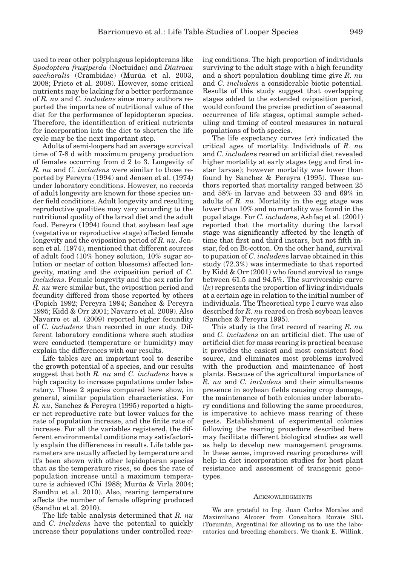used to rear other polyphagous lepidopterans like *Spodoptera frugiperda* (Noctuidae) and *Diatraea saccharalis* (Crambidae) (Murúa et al. 2003, 2008; Prieto et al. 2008). However, some critical nutrients may be lacking for a better performance of *R. nu* and *C. includens* since many authors reported the importance of nutritional value of the diet for the performance of lepidopteran species. Therefore, the identification of critical nutrients for incorporation into the diet to shorten the life cycle may be the next important step.

Adults of semi-loopers had an average survival time of 7-8 d with maximum progeny production of females occurring from d 2 to 3. Longevity of *R. nu* and *C. includens* were similar to those reported by Pereyra (1994) and Jensen et al. (1974) under laboratory conditions. However, no records of adult longevity are known for these species under field conditions. Adult longevity and resulting reproductive qualities may vary according to the nutritional quality of the larval diet and the adult food. Pereyra (1994) found that soybean leaf age (vegetative or reproductive stage) affected female longevity and the oviposition period of *R. nu*. Jensen et al. (1974), mentioned that different sources of adult food (10% honey solution, 10% sugar solution or nectar of cotton blossoms) affected longevity, mating and the oviposition period of *C. includens*. Female longevity and the sex ratio for *R. nu* were similar but, the oviposition period and fecundity differed from those reported by others (Popich 1992; Pereyra 1994; Sanchez & Pereyra 1995; Kidd & Orr 2001; Navarro et al. 2009). Also Navarro et al. (2009) reported higher fecundity of *C. includens* than recorded in our study. Different laboratory conditions where such studies were conducted (temperature or humidity) may explain the differences with our results.

Life tables are an important tool to describe the growth potential of a species, and our results suggest that both *R. nu* and *C. includens* have a high capacity to increase populations under laboratory. These 2 species compared here show, in general, similar population characteristics. For *R. nu*, Sanchez & Pereyra (1995) reported a higher net reproductive rate but lower values for the rate of population increase, and the finite rate of increase. For all the variables registered, the different environmental conditions may satisfactorily explain the differences in results. Life table parameters are usually affected by temperature and it's been shown with other lepidopteran species that as the temperature rises, so does the rate of population increase until a maximum temperature is achieved (Chi 1988; Murúa & Virla 2004; Sandhu et al. 2010). Also, rearing temperature affects the number of female offspring produced (Sandhu et al. 2010).

The life table analysis determined that *R. nu* and *C. includens* have the potential to quickly increase their populations under controlled rearing conditions. The high proportion of individuals surviving to the adult stage with a high fecundity and a short population doubling time give *R. nu* and *C. includens* a considerable biotic potential. Results of this study suggest that overlapping stages added to the extended oviposition period, would confound the precise prediction of seasonal occurrence of life stages, optimal sample scheduling and timing of control measures in natural populations of both species.

The life expectancy curves (*ex*) indicated the critical ages of mortality. Individuals of *R. nu* and *C. includen*s reared on artificial diet revealed higher mortality at early stages (egg and first instar larvae); however mortality was lower than found by Sanchez & Pereyra (1995). These authors reported that mortality ranged between 25 and 58% in larvae and between 33 and 69% in adults of *R. nu*. Mortality in the egg stage was lower than 10% and no mortality was found in the pupal stage. For *C. includen*s, Ashfaq et al. (2001) reported that the mortality during the larval stage was significantly affected by the length of time that first and third instars, but not fifth instar, fed on Bt-cotton. On the other hand, survival to pupation of *C. includen*s larvae obtained in this study (72.3%) was intermediate to that reported by Kidd & Orr (2001) who found survival to range between 61.5 and 94.5%. The survivorship curve (*lx*) represents the proportion of living individuals at a certain age in relation to the initial number of individuals. The Theoretical type I curve was also described for *R. nu* reared on fresh soybean leaves (Sanchez & Pereyra 1995).

This study is the first record of rearing *R. nu* and *C. includens* on an artificial diet. The use of artificial diet for mass rearing is practical because it provides the easiest and most consistent food source, and eliminates most problems involved with the production and maintenance of host plants. Because of the agricultural importance of *R. nu* and *C. includens* and their simultaneous presence in soybean fields causing crop damage, the maintenance of both colonies under laboratory conditions and following the same procedures, is imperative to achieve mass rearing of these pests. Establishment of experimental colonies following the rearing procedure described here may facilitate different biological studies as well as help to develop new management programs. In these sense, improved rearing procedures will help in diet incorporation studies for host plant resistance and assessment of transgenic genotypes.

## **ACKNOWLEDGMENTS**

We are grateful to Ing. Juan Carlos Morales and Maximiliano Alcocer from Consultora Rurais SRL (Tucumán, Argentina) for allowing us to use the laboratories and breeding chambers. We thank E. Willink,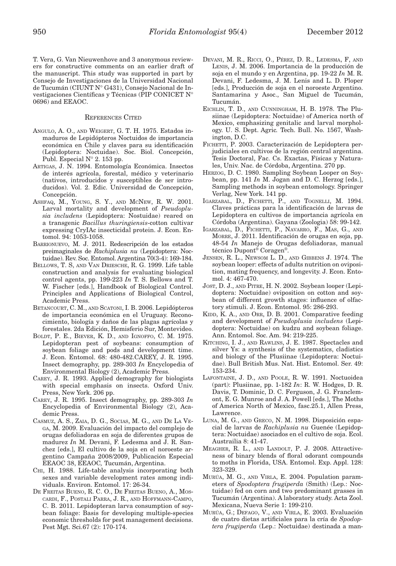T. Vera, G. Van Nieuwenhove and 3 anonymous reviewers for constructive comments on an earlier draft of the manuscript. This study was supported in part by Consejo de Investigaciones de la Universidad Nacional de Tucumán (CIUNT N° G431), Consejo Nacional de Investigaciones Científicas y Técnicas (PIP CONICET N° 0696) and EEAOC.

## REFERENCES CITED

- ANGULO, A. O., AND WEIGERT, G. T. H. 1975. Estados inmaduros de Lepidópteros Noctuidos de importancia económica en Chile y claves para su identificación (Lepidoptera: Noctuidae). Soc. Biol. Concepción, Publ. Especial N° 2. 153 pp.
- ARTIGAS, J. N. 1994. Entomología Económica. Insectos de interés agrícola, forestal, médico y veterinario (nativos, introducidos y susceptibles de ser introducidos). Vol. 2. Edic. Universidad de Concepción, Concepción.
- ASHFAQ, M., YOUNG, S. Y., AND MCNEW, R. W. 2001. Larval mortality and development of *Pseudoplusia includens* (Lepidoptera: Nostuidae) reared on a transgenic *Bacillus thuringiensis*-cotton cultivar expressing CryIAc insecticidal protein. J. Econ. Entomol. 94: 1053-1058.
- BARRIONUEVO, M. J. 2011. Redescripción de los estados preimaginales de *Rachiplusia nu* (Lepidoptera: Noctuidae). Rev. Soc. Entomol. Argentina 70(3-4): 169-184.
- BELLOWS, T. S, AND VAN DRIESCHE, R. G. 1999. Life table construction and analysis for evaluating biological control agents, pp. 199-223 *In* T. S. Bellows and T. W. Fischer [eds.], Handbook of Biological Control. Principles and Applications of Biological Control, Academic Press.
- BETANCOURT, C. M., AND SCATONI, I. B. 2006. Lepidópteros de importancia económica en el Uruguay. Reconocimiento, biología y daños de las plagas agrícolas y forestales. 2da Edición, Hemisferio Sur, Montevideo.
- BOLDT, P. E., BIEVER, K. D., AND IGNOFFO, C. M. 1975. Lepidopteran pest of soybeans: consumption of soybean foliage and pods and development time. J. Econ. Entomol. 68: 480-482.CAREY, J. R. 1995. Insect demography, pp. 289-303 *In* Encyclopedia of Environmental Biology (2), Academic Press.
- CAREY, J. R. 1993. Applied demography for biologists with special emphasis on insects. Oxford Univ. Press, New York. 206 pp.
- CAREY, J. R. 1995. Insect demography, pp. 289-303 *In* Encyclopedia of Environmental Biology (2), Academic Press.
- CASMUZ, A. S., ZAIA, D. G., SOCIAS, M. G., AND DE LA VE-GA, M. 2009. Evaluación del impacto del complejo de orugas defoliadoras en soja de diferentes grupos de madurez *In* M. Devani, F. Ledesma and J. R. Sanchez [eds.], El cultivo de la soja en el noroeste argentino Campaña 2008/2009, Publicación Especial EEAOC 38, EEAOC*,* Tucumán, Argentina.
- CHI, H. 1988. Life-table analysis incorporating both sexes and variable development rates among individuals. Environ. Entomol. 17: 26-34.
- DE FREITAS BUENO, R. C. O., DE FREITAS BUENO, A., MOS-CARDI, F., POSTALI PARRA, J. R., AND HOFFMANN-CAMPO, C. B. 2011. Lepidopteran larva consumption of soybean foliage: Basis for developing multiple-species economic thresholds for pest management decisions. Pest Mgt. Sci.67 (2): 170-174.
- DEVANI, M. R., RICCI, O., PÉREZ, D. R., LEDESMA, F, AND LENIS, J. M. 2006. Importancia de la producción de soja en el mundo y en Argentina, pp. 19-22 *In* M. R. Devani, F. Ledesma, J. M. Lenis and L. D. Ploper [eds.], Producción de soja en el noroeste Argentino. Santamarina y Asoc., San Miguel de Tucumán, Tucumán.
- EICHLIN, T. D., AND CUNNINGHAM, H. B. 1978. The Plusiinae (Lepidoptera: Noctuidae) of America north of Mexico, emphasizing genitalic and larval morphology. U. S. Dept. Agric*.* Tech. Bull. No. 1567, Washington, D.C.
- FICHETTI, P. 2003. Caracterización de Lepidoptera perjudiciales en cultivos de la región central argentina. Tesis Doctoral, Fac. Cs. Exactas, Físicas y Naturales, Univ. Nac. de Córdoba, Argentina. 270 pp.
- HERZOG, D. C. 1980. Sampling Soybean Looper on Soybean, pp. 141 *In* M. Jogan and D. C. Herzog [eds.], Sampling methods in soybean entomology. Springer Verlag, New York. 141 pp.
- IGARZABAL, D., FICHETTI, P., AND TOGNELLI, M. 1994. Claves prácticas para la identificación de larvas de Lepidoptera en cultivos de importancia agrícola en Córdoba (Argentina). Gayana (Zoologia) 58: 99-142.
- IGARZABAL, D., FICHETTI, P., NAVARRO, F., MAS, G., AND MORRE, J. 2011. Identificación de orugas en soja, pp. 48-54 *In* Manejo de Orugas defoliadoras, manual técnico Dupont® Coragen®.
- JENSEN, R. L., NEWSOM L. D., AND GIBBENS J. 1974. The soybean looper: effects of adults nutrition on oviposition, mating frequency, and longevity. J. Econ. Entomol. 4: 467-470.
- JOST, D. J., AND PITRE, H. N. 2002. Soybean looper (Lepidoptera: Noctuidae) oviposition on cotton and soybean of different growth stages: influence of olfactory stimuli. J. Econ. Entomol. 95: 286-293.
- KIDD, K. A., AND ORR, D. B. 2001. Comparative feeding and development of *Pseudoplusia includens* (Lepidoptera: Noctuidae) on kudzu and soybean foliage. Ann. Entomol. Soc. Am. 94: 219-225.
- KITCHING, I. J., AND RAWLINS, J. E. 1987. Spectacles and silver Ys: a synthesis of the systematics, cladistics and biology of the Plusiinae (Lepidoptera: Noctuidae). Bull British Mus. Nat. Hist. Entomol. Ser. 49: 153-234.
- LAFONTAINE, J. D., AND POOLE, R. W. 1991. Noctuoidea (part): Plusiinae, pp. 1-182 *In*: R. W. Hodges, D. R. Davis, T. Dominic, D. C. Ferguson, J. G. Franclemont, E. G. Munroe and J. A. Powell [eds.], The Moths of America North of Mexico, fasc.25.1, Allen Press, Lawrence.
- LUNA, M. G., AND GRECO, N. M. 1998. Disposición espacial de larvas de *Rachiplusia nu* Guenée (Lepidoptera: Noctuidae) asociados en el cultivo de soja. Ecol. Austrailia 8: 41-47.
- MEAGHER, R. L., AND LANDOLT, P. J. 2008. Attractiveness of binary blends of floral odorant compounds to moths in Florida, USA. Entomol. Exp. Appl. 128: 323-329.
- MURÚA, M. G., AND VIRLA, E. 2004. Population parameters of *Spodoptera frugiperda* (Smith) (Lep.: Noctuidae) fed on corn and two predominant grasses in Tucumán (Argentina). A laboratory study. Acta Zool. Mexicana, Nueva Serie 1: 199-210.
- MURÚA, G.; DEFAGO, V., AND VIRLA, E. 2003. Evaluación de cuatro dietas artificiales para la cría de *Spodoptera frugiperda* (Lep.: Noctuidae) destinada a man-